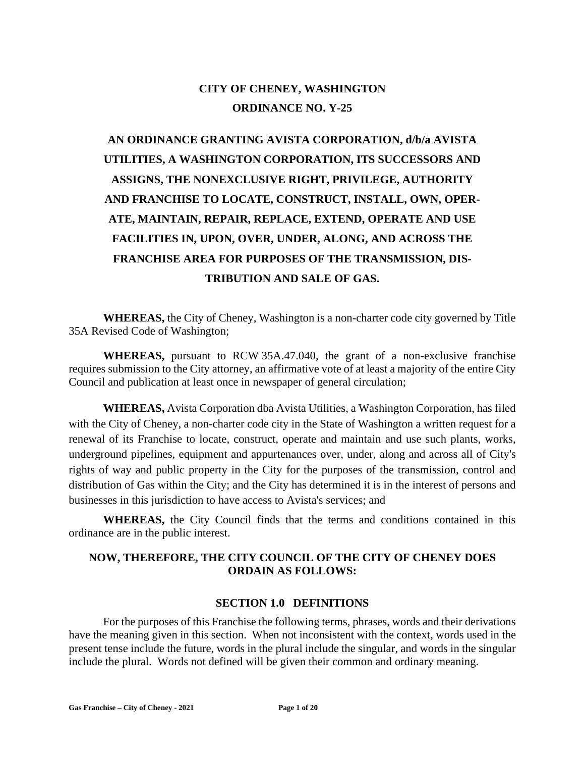## **CITY OF CHENEY, WASHINGTON ORDINANCE NO. Y-25**

# **AN ORDINANCE GRANTING AVISTA CORPORATION, d/b/a AVISTA UTILITIES, A WASHINGTON CORPORATION, ITS SUCCESSORS AND ASSIGNS, THE NONEXCLUSIVE RIGHT, PRIVILEGE, AUTHORITY AND FRANCHISE TO LOCATE, CONSTRUCT, INSTALL, OWN, OPER-ATE, MAINTAIN, REPAIR, REPLACE, EXTEND, OPERATE AND USE FACILITIES IN, UPON, OVER, UNDER, ALONG, AND ACROSS THE FRANCHISE AREA FOR PURPOSES OF THE TRANSMISSION, DIS-TRIBUTION AND SALE OF GAS.**

**WHEREAS,** the City of Cheney, Washington is a non-charter code city governed by Title 35A Revised Code of Washington;

**WHEREAS,** pursuant to RCW 35A.47.040, the grant of a non-exclusive franchise requires submission to the City attorney, an affirmative vote of at least a majority of the entire City Council and publication at least once in newspaper of general circulation;

**WHEREAS,** Avista Corporation dba Avista Utilities, a Washington Corporation, has filed with the City of Cheney, a non-charter code city in the State of Washington a written request for a renewal of its Franchise to locate, construct, operate and maintain and use such plants, works, underground pipelines, equipment and appurtenances over, under, along and across all of City's rights of way and public property in the City for the purposes of the transmission, control and distribution of Gas within the City; and the City has determined it is in the interest of persons and businesses in this jurisdiction to have access to Avista's services; and

**WHEREAS,** the City Council finds that the terms and conditions contained in this ordinance are in the public interest.

### **NOW, THEREFORE, THE CITY COUNCIL OF THE CITY OF CHENEY DOES ORDAIN AS FOLLOWS:**

### **SECTION 1.0 DEFINITIONS**

For the purposes of this Franchise the following terms, phrases, words and their derivations have the meaning given in this section. When not inconsistent with the context, words used in the present tense include the future, words in the plural include the singular, and words in the singular include the plural. Words not defined will be given their common and ordinary meaning.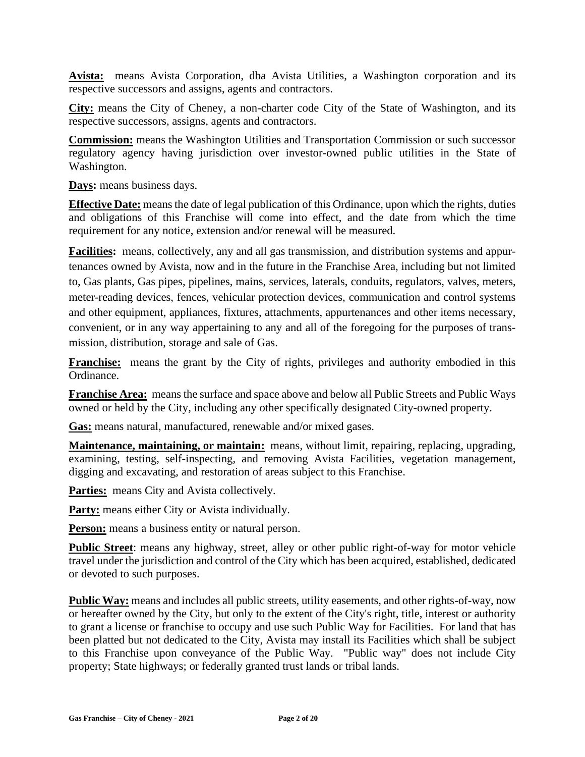**Avista:** means Avista Corporation, dba Avista Utilities, a Washington corporation and its respective successors and assigns, agents and contractors.

**City:** means the City of Cheney, a non-charter code City of the State of Washington, and its respective successors, assigns, agents and contractors.

**Commission:** means the Washington Utilities and Transportation Commission or such successor regulatory agency having jurisdiction over investor-owned public utilities in the State of Washington.

**Days:** means business days.

**Effective Date:** means the date of legal publication of this Ordinance, upon which the rights, duties and obligations of this Franchise will come into effect, and the date from which the time requirement for any notice, extension and/or renewal will be measured.

**Facilities:** means, collectively, any and all gas transmission, and distribution systems and appurtenances owned by Avista, now and in the future in the Franchise Area, including but not limited to, Gas plants, Gas pipes, pipelines, mains, services, laterals, conduits, regulators, valves, meters, meter-reading devices, fences, vehicular protection devices, communication and control systems and other equipment, appliances, fixtures, attachments, appurtenances and other items necessary, convenient, or in any way appertaining to any and all of the foregoing for the purposes of transmission, distribution, storage and sale of Gas.

**Franchise:** means the grant by the City of rights, privileges and authority embodied in this Ordinance.

**Franchise Area:** means the surface and space above and below all Public Streets and Public Ways owned or held by the City, including any other specifically designated City-owned property.

**Gas:** means natural, manufactured, renewable and/or mixed gases.

**Maintenance, maintaining, or maintain:** means, without limit, repairing, replacing, upgrading, examining, testing, self-inspecting, and removing Avista Facilities, vegetation management, digging and excavating, and restoration of areas subject to this Franchise.

Parties: means City and Avista collectively.

Party: means either City or Avista individually.

**Person:** means a business entity or natural person.

**Public Street**: means any highway, street, alley or other public right-of-way for motor vehicle travel under the jurisdiction and control of the City which has been acquired, established, dedicated or devoted to such purposes.

**Public Way:** means and includes all public streets, utility easements, and other rights-of-way, now or hereafter owned by the City, but only to the extent of the City's right, title, interest or authority to grant a license or franchise to occupy and use such Public Way for Facilities. For land that has been platted but not dedicated to the City, Avista may install its Facilities which shall be subject to this Franchise upon conveyance of the Public Way. "Public way" does not include City property; State highways; or federally granted trust lands or tribal lands.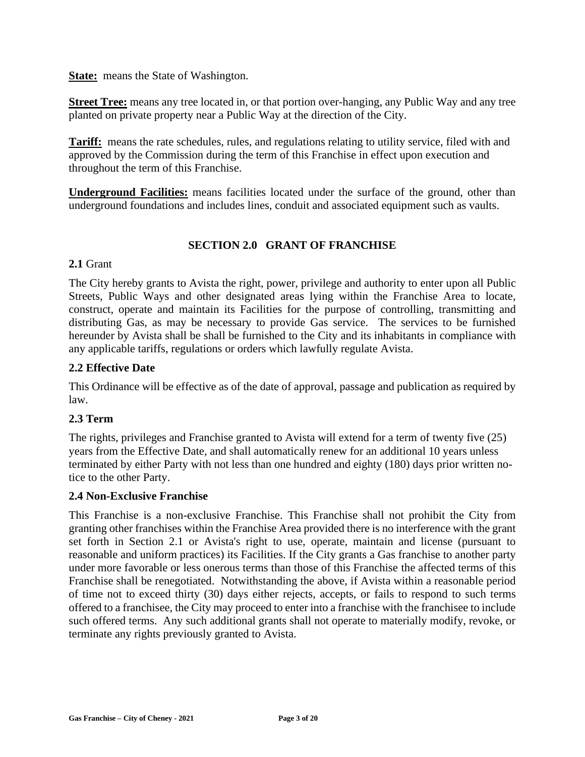**State:** means the State of Washington.

**Street Tree:** means any tree located in, or that portion over-hanging, any Public Way and any tree planted on private property near a Public Way at the direction of the City.

**Tariff:** means the rate schedules, rules, and regulations relating to utility service, filed with and approved by the Commission during the term of this Franchise in effect upon execution and throughout the term of this Franchise.

**Underground Facilities:** means facilities located under the surface of the ground, other than underground foundations and includes lines, conduit and associated equipment such as vaults.

### **SECTION 2.0 GRANT OF FRANCHISE**

#### **2.1** Grant

The City hereby grants to Avista the right, power, privilege and authority to enter upon all Public Streets, Public Ways and other designated areas lying within the Franchise Area to locate, construct, operate and maintain its Facilities for the purpose of controlling, transmitting and distributing Gas, as may be necessary to provide Gas service. The services to be furnished hereunder by Avista shall be shall be furnished to the City and its inhabitants in compliance with any applicable tariffs, regulations or orders which lawfully regulate Avista.

### **2.2 Effective Date**

This Ordinance will be effective as of the date of approval, passage and publication as required by law.

### **2.3 Term**

The rights, privileges and Franchise granted to Avista will extend for a term of twenty five (25) years from the Effective Date, and shall automatically renew for an additional 10 years unless terminated by either Party with not less than one hundred and eighty (180) days prior written notice to the other Party.

### **2.4 Non-Exclusive Franchise**

This Franchise is a non-exclusive Franchise. This Franchise shall not prohibit the City from granting other franchises within the Franchise Area provided there is no interference with the grant set forth in Section 2.1 or Avista's right to use, operate, maintain and license (pursuant to reasonable and uniform practices) its Facilities. If the City grants a Gas franchise to another party under more favorable or less onerous terms than those of this Franchise the affected terms of this Franchise shall be renegotiated. Notwithstanding the above, if Avista within a reasonable period of time not to exceed thirty (30) days either rejects, accepts, or fails to respond to such terms offered to a franchisee, the City may proceed to enter into a franchise with the franchisee to include such offered terms. Any such additional grants shall not operate to materially modify, revoke, or terminate any rights previously granted to Avista.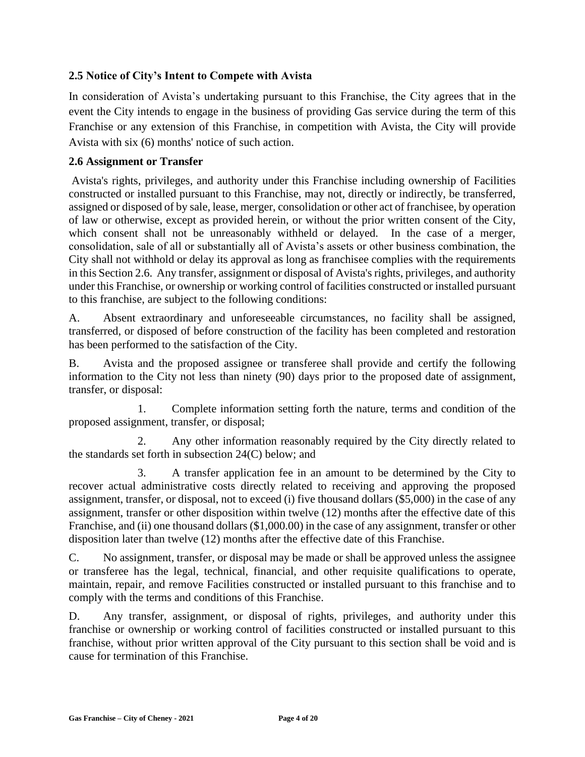### **2.5 Notice of City's Intent to Compete with Avista**

In consideration of Avista's undertaking pursuant to this Franchise, the City agrees that in the event the City intends to engage in the business of providing Gas service during the term of this Franchise or any extension of this Franchise, in competition with Avista, the City will provide Avista with six (6) months' notice of such action.

### **2.6 Assignment or Transfer**

Avista's rights, privileges, and authority under this Franchise including ownership of Facilities constructed or installed pursuant to this Franchise, may not, directly or indirectly, be transferred, assigned or disposed of by sale, lease, merger, consolidation or other act of franchisee, by operation of law or otherwise, except as provided herein, or without the prior written consent of the City, which consent shall not be unreasonably withheld or delayed. In the case of a merger, consolidation, sale of all or substantially all of Avista's assets or other business combination, the City shall not withhold or delay its approval as long as franchisee complies with the requirements in this Section 2.6. Any transfer, assignment or disposal of Avista's rights, privileges, and authority under this Franchise, or ownership or working control of facilities constructed or installed pursuant to this franchise, are subject to the following conditions:

A. Absent extraordinary and unforeseeable circumstances, no facility shall be assigned, transferred, or disposed of before construction of the facility has been completed and restoration has been performed to the satisfaction of the City.

B. Avista and the proposed assignee or transferee shall provide and certify the following information to the City not less than ninety (90) days prior to the proposed date of assignment, transfer, or disposal:

1. Complete information setting forth the nature, terms and condition of the proposed assignment, transfer, or disposal;

2. Any other information reasonably required by the City directly related to the standards set forth in subsection 24(C) below; and

3. A transfer application fee in an amount to be determined by the City to recover actual administrative costs directly related to receiving and approving the proposed assignment, transfer, or disposal, not to exceed (i) five thousand dollars (\$5,000) in the case of any assignment, transfer or other disposition within twelve (12) months after the effective date of this Franchise, and (ii) one thousand dollars (\$1,000.00) in the case of any assignment, transfer or other disposition later than twelve (12) months after the effective date of this Franchise.

C. No assignment, transfer, or disposal may be made or shall be approved unless the assignee or transferee has the legal, technical, financial, and other requisite qualifications to operate, maintain, repair, and remove Facilities constructed or installed pursuant to this franchise and to comply with the terms and conditions of this Franchise.

D. Any transfer, assignment, or disposal of rights, privileges, and authority under this franchise or ownership or working control of facilities constructed or installed pursuant to this franchise, without prior written approval of the City pursuant to this section shall be void and is cause for termination of this Franchise.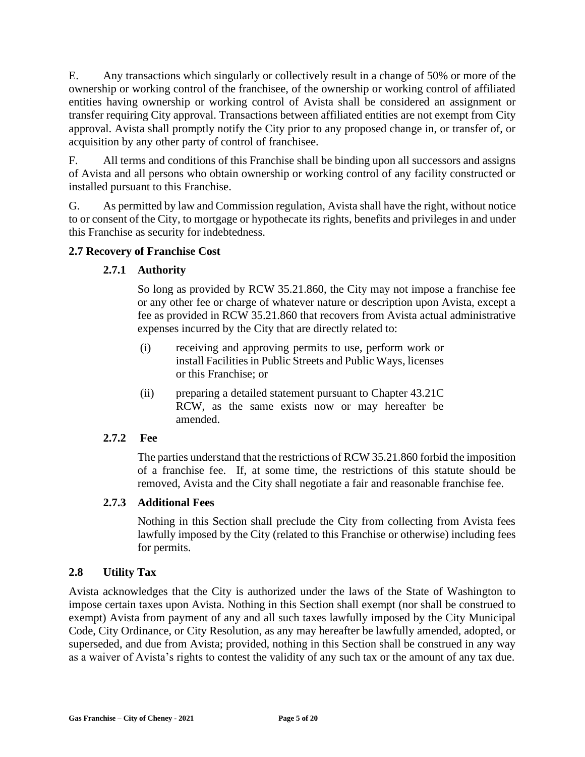E. Any transactions which singularly or collectively result in a change of 50% or more of the ownership or working control of the franchisee, of the ownership or working control of affiliated entities having ownership or working control of Avista shall be considered an assignment or transfer requiring City approval. Transactions between affiliated entities are not exempt from City approval. Avista shall promptly notify the City prior to any proposed change in, or transfer of, or acquisition by any other party of control of franchisee.

F. All terms and conditions of this Franchise shall be binding upon all successors and assigns of Avista and all persons who obtain ownership or working control of any facility constructed or installed pursuant to this Franchise.

G. As permitted by law and Commission regulation, Avista shall have the right, without notice to or consent of the City, to mortgage or hypothecate its rights, benefits and privileges in and under this Franchise as security for indebtedness.

### **2.7 Recovery of Franchise Cost**

### **2.7.1 Authority**

So long as provided by RCW 35.21.860, the City may not impose a franchise fee or any other fee or charge of whatever nature or description upon Avista, except a fee as provided in RCW 35.21.860 that recovers from Avista actual administrative expenses incurred by the City that are directly related to:

- (i) receiving and approving permits to use, perform work or install Facilities in Public Streets and Public Ways, licenses or this Franchise; or
- (ii) preparing a detailed statement pursuant to Chapter 43.21C RCW, as the same exists now or may hereafter be amended.

### **2.7.2 Fee**

The parties understand that the restrictions of RCW 35.21.860 forbid the imposition of a franchise fee. If, at some time, the restrictions of this statute should be removed, Avista and the City shall negotiate a fair and reasonable franchise fee.

### **2.7.3 Additional Fees**

Nothing in this Section shall preclude the City from collecting from Avista fees lawfully imposed by the City (related to this Franchise or otherwise) including fees for permits.

### **2.8 Utility Tax**

Avista acknowledges that the City is authorized under the laws of the State of Washington to impose certain taxes upon Avista. Nothing in this Section shall exempt (nor shall be construed to exempt) Avista from payment of any and all such taxes lawfully imposed by the City Municipal Code, City Ordinance, or City Resolution, as any may hereafter be lawfully amended, adopted, or superseded, and due from Avista; provided, nothing in this Section shall be construed in any way as a waiver of Avista's rights to contest the validity of any such tax or the amount of any tax due.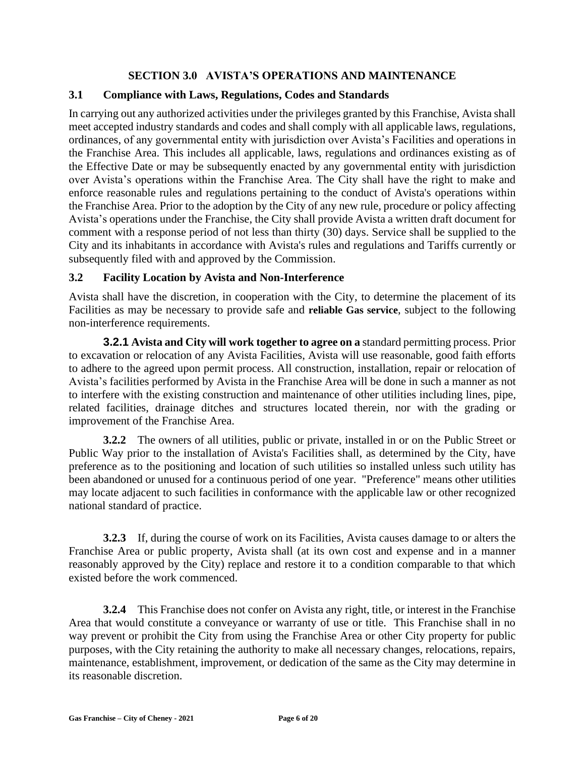### **SECTION 3.0 AVISTA'S OPERATIONS AND MAINTENANCE**

### **3.1 Compliance with Laws, Regulations, Codes and Standards**

In carrying out any authorized activities under the privileges granted by this Franchise, Avista shall meet accepted industry standards and codes and shall comply with all applicable laws, regulations, ordinances, of any governmental entity with jurisdiction over Avista's Facilities and operations in the Franchise Area. This includes all applicable, laws, regulations and ordinances existing as of the Effective Date or may be subsequently enacted by any governmental entity with jurisdiction over Avista's operations within the Franchise Area. The City shall have the right to make and enforce reasonable rules and regulations pertaining to the conduct of Avista's operations within the Franchise Area. Prior to the adoption by the City of any new rule, procedure or policy affecting Avista's operations under the Franchise, the City shall provide Avista a written draft document for comment with a response period of not less than thirty (30) days. Service shall be supplied to the City and its inhabitants in accordance with Avista's rules and regulations and Tariffs currently or subsequently filed with and approved by the Commission.

### **3.2 Facility Location by Avista and Non-Interference**

Avista shall have the discretion, in cooperation with the City, to determine the placement of its Facilities as may be necessary to provide safe and **reliable Gas service**, subject to the following non-interference requirements.

**3.2.1 Avista and City will work together to agree on a** standard permitting process. Prior to excavation or relocation of any Avista Facilities, Avista will use reasonable, good faith efforts to adhere to the agreed upon permit process. All construction, installation, repair or relocation of Avista's facilities performed by Avista in the Franchise Area will be done in such a manner as not to interfere with the existing construction and maintenance of other utilities including lines, pipe, related facilities, drainage ditches and structures located therein, nor with the grading or improvement of the Franchise Area.

**3.2.2** The owners of all utilities, public or private, installed in or on the Public Street or Public Way prior to the installation of Avista's Facilities shall, as determined by the City, have preference as to the positioning and location of such utilities so installed unless such utility has been abandoned or unused for a continuous period of one year. "Preference" means other utilities may locate adjacent to such facilities in conformance with the applicable law or other recognized national standard of practice.

**3.2.3** If, during the course of work on its Facilities, Avista causes damage to or alters the Franchise Area or public property, Avista shall (at its own cost and expense and in a manner reasonably approved by the City) replace and restore it to a condition comparable to that which existed before the work commenced.

**3.2.4** This Franchise does not confer on Avista any right, title, or interest in the Franchise Area that would constitute a conveyance or warranty of use or title. This Franchise shall in no way prevent or prohibit the City from using the Franchise Area or other City property for public purposes, with the City retaining the authority to make all necessary changes, relocations, repairs, maintenance, establishment, improvement, or dedication of the same as the City may determine in its reasonable discretion.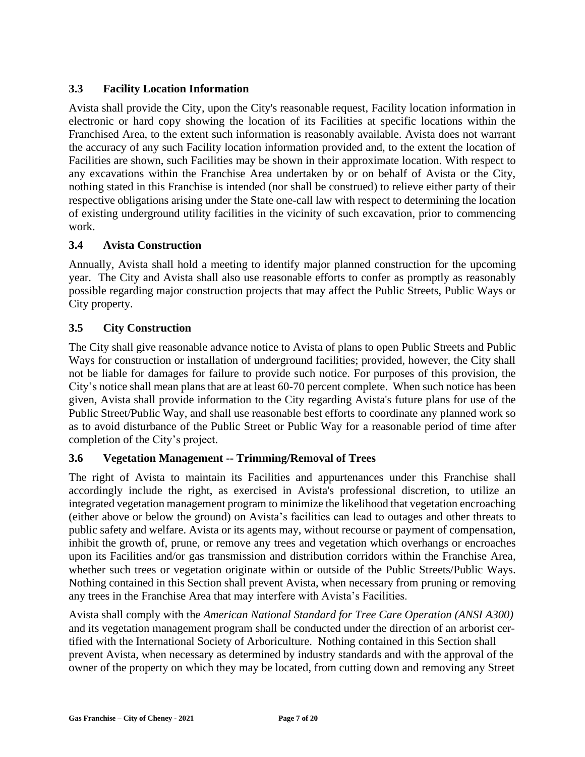### **3.3 Facility Location Information**

Avista shall provide the City, upon the City's reasonable request, Facility location information in electronic or hard copy showing the location of its Facilities at specific locations within the Franchised Area, to the extent such information is reasonably available. Avista does not warrant the accuracy of any such Facility location information provided and, to the extent the location of Facilities are shown, such Facilities may be shown in their approximate location. With respect to any excavations within the Franchise Area undertaken by or on behalf of Avista or the City, nothing stated in this Franchise is intended (nor shall be construed) to relieve either party of their respective obligations arising under the State one-call law with respect to determining the location of existing underground utility facilities in the vicinity of such excavation, prior to commencing work.

### **3.4 Avista Construction**

Annually, Avista shall hold a meeting to identify major planned construction for the upcoming year. The City and Avista shall also use reasonable efforts to confer as promptly as reasonably possible regarding major construction projects that may affect the Public Streets, Public Ways or City property.

### **3.5 City Construction**

The City shall give reasonable advance notice to Avista of plans to open Public Streets and Public Ways for construction or installation of underground facilities; provided, however, the City shall not be liable for damages for failure to provide such notice. For purposes of this provision, the City's notice shall mean plans that are at least 60-70 percent complete. When such notice has been given, Avista shall provide information to the City regarding Avista's future plans for use of the Public Street/Public Way, and shall use reasonable best efforts to coordinate any planned work so as to avoid disturbance of the Public Street or Public Way for a reasonable period of time after completion of the City's project.

### **3.6 Vegetation Management -- Trimming/Removal of Trees**

The right of Avista to maintain its Facilities and appurtenances under this Franchise shall accordingly include the right, as exercised in Avista's professional discretion, to utilize an integrated vegetation management program to minimize the likelihood that vegetation encroaching (either above or below the ground) on Avista's facilities can lead to outages and other threats to public safety and welfare. Avista or its agents may, without recourse or payment of compensation, inhibit the growth of, prune, or remove any trees and vegetation which overhangs or encroaches upon its Facilities and/or gas transmission and distribution corridors within the Franchise Area, whether such trees or vegetation originate within or outside of the Public Streets/Public Ways. Nothing contained in this Section shall prevent Avista, when necessary from pruning or removing any trees in the Franchise Area that may interfere with Avista's Facilities.

Avista shall comply with the *American National Standard for Tree Care Operation (ANSI A300)* and its vegetation management program shall be conducted under the direction of an arborist certified with the International Society of Arboriculture. Nothing contained in this Section shall prevent Avista, when necessary as determined by industry standards and with the approval of the owner of the property on which they may be located, from cutting down and removing any Street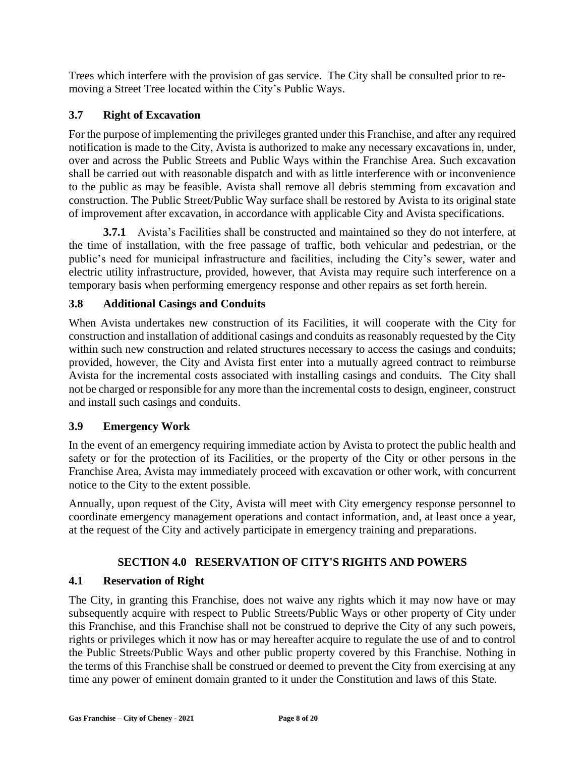Trees which interfere with the provision of gas service. The City shall be consulted prior to removing a Street Tree located within the City's Public Ways.

### **3.7 Right of Excavation**

For the purpose of implementing the privileges granted under this Franchise, and after any required notification is made to the City, Avista is authorized to make any necessary excavations in, under, over and across the Public Streets and Public Ways within the Franchise Area. Such excavation shall be carried out with reasonable dispatch and with as little interference with or inconvenience to the public as may be feasible. Avista shall remove all debris stemming from excavation and construction. The Public Street/Public Way surface shall be restored by Avista to its original state of improvement after excavation, in accordance with applicable City and Avista specifications.

**3.7.1** Avista's Facilities shall be constructed and maintained so they do not interfere, at the time of installation, with the free passage of traffic, both vehicular and pedestrian, or the public's need for municipal infrastructure and facilities, including the City's sewer, water and electric utility infrastructure, provided, however, that Avista may require such interference on a temporary basis when performing emergency response and other repairs as set forth herein.

### **3.8 Additional Casings and Conduits**

When Avista undertakes new construction of its Facilities, it will cooperate with the City for construction and installation of additional casings and conduits as reasonably requested by the City within such new construction and related structures necessary to access the casings and conduits; provided, however, the City and Avista first enter into a mutually agreed contract to reimburse Avista for the incremental costs associated with installing casings and conduits. The City shall not be charged or responsible for any more than the incremental costs to design, engineer, construct and install such casings and conduits.

### **3.9 Emergency Work**

In the event of an emergency requiring immediate action by Avista to protect the public health and safety or for the protection of its Facilities, or the property of the City or other persons in the Franchise Area, Avista may immediately proceed with excavation or other work, with concurrent notice to the City to the extent possible.

Annually, upon request of the City, Avista will meet with City emergency response personnel to coordinate emergency management operations and contact information, and, at least once a year, at the request of the City and actively participate in emergency training and preparations.

### **SECTION 4.0 RESERVATION OF CITY'S RIGHTS AND POWERS**

### **4.1 Reservation of Right**

The City, in granting this Franchise, does not waive any rights which it may now have or may subsequently acquire with respect to Public Streets/Public Ways or other property of City under this Franchise, and this Franchise shall not be construed to deprive the City of any such powers, rights or privileges which it now has or may hereafter acquire to regulate the use of and to control the Public Streets/Public Ways and other public property covered by this Franchise. Nothing in the terms of this Franchise shall be construed or deemed to prevent the City from exercising at any time any power of eminent domain granted to it under the Constitution and laws of this State.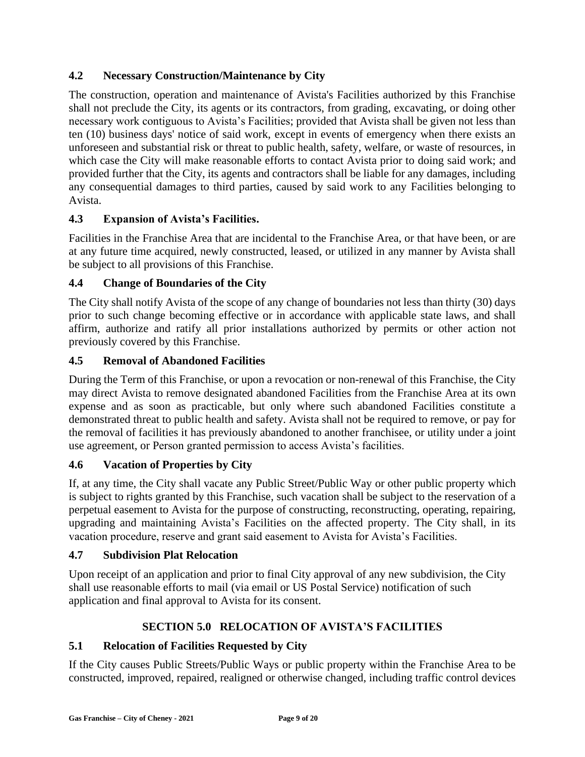### **4.2 Necessary Construction/Maintenance by City**

The construction, operation and maintenance of Avista's Facilities authorized by this Franchise shall not preclude the City, its agents or its contractors, from grading, excavating, or doing other necessary work contiguous to Avista's Facilities; provided that Avista shall be given not less than ten (10) business days' notice of said work, except in events of emergency when there exists an unforeseen and substantial risk or threat to public health, safety, welfare, or waste of resources, in which case the City will make reasonable efforts to contact Avista prior to doing said work; and provided further that the City, its agents and contractors shall be liable for any damages, including any consequential damages to third parties, caused by said work to any Facilities belonging to Avista.

### **4.3 Expansion of Avista's Facilities.**

Facilities in the Franchise Area that are incidental to the Franchise Area, or that have been, or are at any future time acquired, newly constructed, leased, or utilized in any manner by Avista shall be subject to all provisions of this Franchise.

### **4.4 Change of Boundaries of the City**

The City shall notify Avista of the scope of any change of boundaries not less than thirty (30) days prior to such change becoming effective or in accordance with applicable state laws, and shall affirm, authorize and ratify all prior installations authorized by permits or other action not previously covered by this Franchise.

### **4.5 Removal of Abandoned Facilities**

During the Term of this Franchise, or upon a revocation or non-renewal of this Franchise, the City may direct Avista to remove designated abandoned Facilities from the Franchise Area at its own expense and as soon as practicable, but only where such abandoned Facilities constitute a demonstrated threat to public health and safety. Avista shall not be required to remove, or pay for the removal of facilities it has previously abandoned to another franchisee, or utility under a joint use agreement, or Person granted permission to access Avista's facilities.

### **4.6 Vacation of Properties by City**

If, at any time, the City shall vacate any Public Street/Public Way or other public property which is subject to rights granted by this Franchise, such vacation shall be subject to the reservation of a perpetual easement to Avista for the purpose of constructing, reconstructing, operating, repairing, upgrading and maintaining Avista's Facilities on the affected property. The City shall, in its vacation procedure, reserve and grant said easement to Avista for Avista's Facilities.

### **4.7 Subdivision Plat Relocation**

Upon receipt of an application and prior to final City approval of any new subdivision, the City shall use reasonable efforts to mail (via email or US Postal Service) notification of such application and final approval to Avista for its consent.

### **SECTION 5.0 RELOCATION OF AVISTA'S FACILITIES**

### **5.1 Relocation of Facilities Requested by City**

If the City causes Public Streets/Public Ways or public property within the Franchise Area to be constructed, improved, repaired, realigned or otherwise changed, including traffic control devices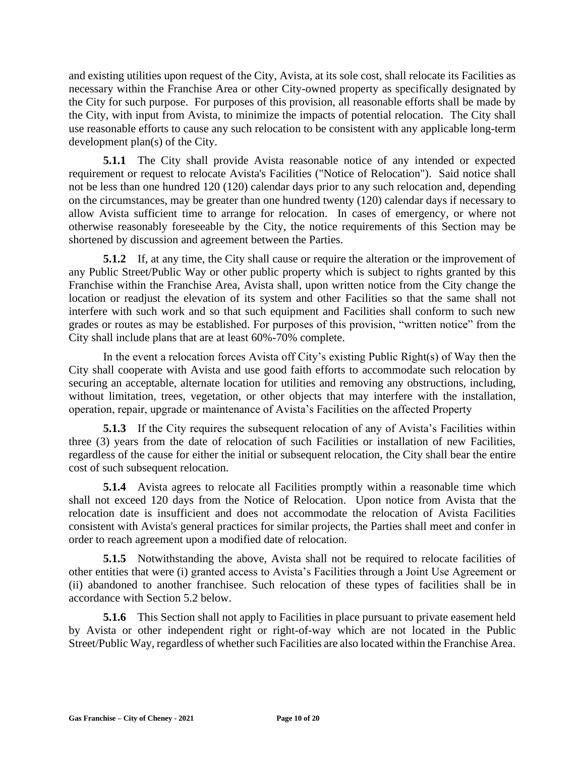and existing utilities upon request of the City, Avista, at its sole cost, shall relocate its Facilities as necessary within the Franchise Area or other City-owned property as specifically designated by the City for such purpose. For purposes of this provision, all reasonable efforts shall be made by the City, with input from Avista, to minimize the impacts of potential relocation. The City shall use reasonable efforts to cause any such relocation to be consistent with any applicable long-term development plan(s) of the City.

**5.1.1** The City shall provide Avista reasonable notice of any intended or expected requirement or request to relocate Avista's Facilities ("Notice of Relocation"). Said notice shall not be less than one hundred 120 (120) calendar days prior to any such relocation and, depending on the circumstances, may be greater than one hundred twenty (120) calendar days if necessary to allow Avista sufficient time to arrange for relocation. In cases of emergency, or where not otherwise reasonably foreseeable by the City, the notice requirements of this Section may be shortened by discussion and agreement between the Parties.

**5.1.2** If, at any time, the City shall cause or require the alteration or the improvement of any Public Street/Public Way or other public property which is subject to rights granted by this Franchise within the Franchise Area, Avista shall, upon written notice from the City change the location or readjust the elevation of its system and other Facilities so that the same shall not interfere with such work and so that such equipment and Facilities shall conform to such new grades or routes as may be established. For purposes of this provision, "written notice" from the City shall include plans that are at least 60%-70% complete.

In the event a relocation forces Avista off City's existing Public Right(s) of Way then the City shall cooperate with Avista and use good faith efforts to accommodate such relocation by securing an acceptable, alternate location for utilities and removing any obstructions, including, without limitation, trees, vegetation, or other objects that may interfere with the installation, operation, repair, upgrade or maintenance of Avista's Facilities on the affected Property

**5.1.3** If the City requires the subsequent relocation of any of Avista's Facilities within three (3) years from the date of relocation of such Facilities or installation of new Facilities, regardless of the cause for either the initial or subsequent relocation, the City shall bear the entire cost of such subsequent relocation.

**5.1.4** Avista agrees to relocate all Facilities promptly within a reasonable time which shall not exceed 120 days from the Notice of Relocation. Upon notice from Avista that the relocation date is insufficient and does not accommodate the relocation of Avista Facilities consistent with Avista's general practices for similar projects, the Parties shall meet and confer in order to reach agreement upon a modified date of relocation.

**5.1.5** Notwithstanding the above, Avista shall not be required to relocate facilities of other entities that were (i) granted access to Avista's Facilities through a Joint Use Agreement or (ii) abandoned to another franchisee. Such relocation of these types of facilities shall be in accordance with Section 5.2 below.

**5.1.6** This Section shall not apply to Facilities in place pursuant to private easement held by Avista or other independent right or right-of-way which are not located in the Public Street/Public Way, regardless of whether such Facilities are also located within the Franchise Area.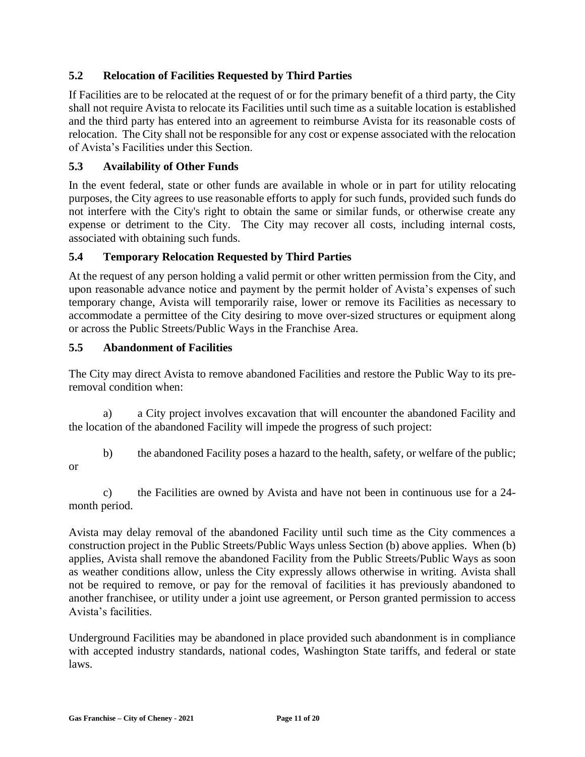### **5.2 Relocation of Facilities Requested by Third Parties**

If Facilities are to be relocated at the request of or for the primary benefit of a third party, the City shall not require Avista to relocate its Facilities until such time as a suitable location is established and the third party has entered into an agreement to reimburse Avista for its reasonable costs of relocation. The City shall not be responsible for any cost or expense associated with the relocation of Avista's Facilities under this Section.

### **5.3 Availability of Other Funds**

In the event federal, state or other funds are available in whole or in part for utility relocating purposes, the City agrees to use reasonable efforts to apply for such funds, provided such funds do not interfere with the City's right to obtain the same or similar funds, or otherwise create any expense or detriment to the City. The City may recover all costs, including internal costs, associated with obtaining such funds.

### **5.4 Temporary Relocation Requested by Third Parties**

At the request of any person holding a valid permit or other written permission from the City, and upon reasonable advance notice and payment by the permit holder of Avista's expenses of such temporary change, Avista will temporarily raise, lower or remove its Facilities as necessary to accommodate a permittee of the City desiring to move over-sized structures or equipment along or across the Public Streets/Public Ways in the Franchise Area.

### **5.5 Abandonment of Facilities**

or

The City may direct Avista to remove abandoned Facilities and restore the Public Way to its preremoval condition when:

a) a City project involves excavation that will encounter the abandoned Facility and the location of the abandoned Facility will impede the progress of such project:

b) the abandoned Facility poses a hazard to the health, safety, or welfare of the public;

c) the Facilities are owned by Avista and have not been in continuous use for a 24 month period.

Avista may delay removal of the abandoned Facility until such time as the City commences a construction project in the Public Streets/Public Ways unless Section (b) above applies. When (b) applies, Avista shall remove the abandoned Facility from the Public Streets/Public Ways as soon as weather conditions allow, unless the City expressly allows otherwise in writing. Avista shall not be required to remove, or pay for the removal of facilities it has previously abandoned to another franchisee, or utility under a joint use agreement, or Person granted permission to access Avista's facilities.

Underground Facilities may be abandoned in place provided such abandonment is in compliance with accepted industry standards, national codes, Washington State tariffs, and federal or state laws.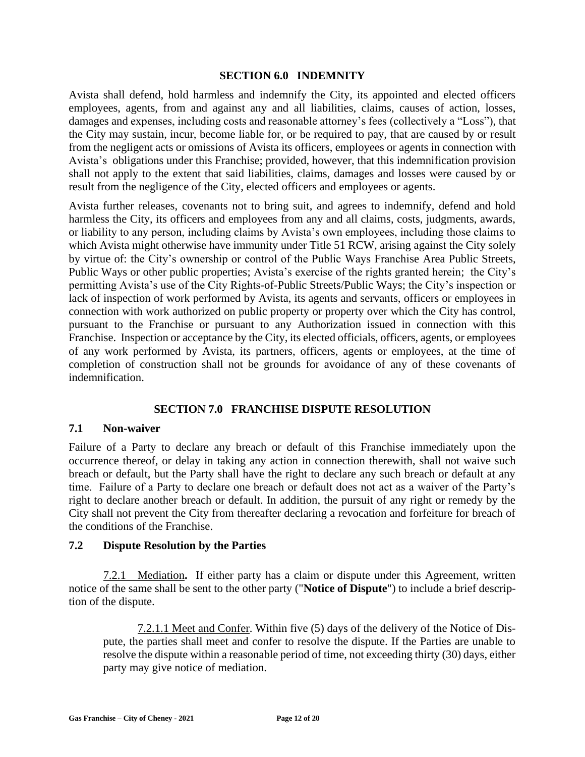#### **SECTION 6.0 INDEMNITY**

Avista shall defend, hold harmless and indemnify the City, its appointed and elected officers employees, agents, from and against any and all liabilities, claims, causes of action, losses, damages and expenses, including costs and reasonable attorney's fees (collectively a "Loss"), that the City may sustain, incur, become liable for, or be required to pay, that are caused by or result from the negligent acts or omissions of Avista its officers, employees or agents in connection with Avista's obligations under this Franchise; provided, however, that this indemnification provision shall not apply to the extent that said liabilities, claims, damages and losses were caused by or result from the negligence of the City, elected officers and employees or agents.

Avista further releases, covenants not to bring suit, and agrees to indemnify, defend and hold harmless the City, its officers and employees from any and all claims, costs, judgments, awards, or liability to any person, including claims by Avista's own employees, including those claims to which Avista might otherwise have immunity under Title 51 RCW, arising against the City solely by virtue of: the City's ownership or control of the Public Ways Franchise Area Public Streets, Public Ways or other public properties; Avista's exercise of the rights granted herein; the City's permitting Avista's use of the City Rights-of-Public Streets/Public Ways; the City's inspection or lack of inspection of work performed by Avista, its agents and servants, officers or employees in connection with work authorized on public property or property over which the City has control, pursuant to the Franchise or pursuant to any Authorization issued in connection with this Franchise. Inspection or acceptance by the City, its elected officials, officers, agents, or employees of any work performed by Avista, its partners, officers, agents or employees, at the time of completion of construction shall not be grounds for avoidance of any of these covenants of indemnification.

### **SECTION 7.0 FRANCHISE DISPUTE RESOLUTION**

### **7.1 Non-waiver**

Failure of a Party to declare any breach or default of this Franchise immediately upon the occurrence thereof, or delay in taking any action in connection therewith, shall not waive such breach or default, but the Party shall have the right to declare any such breach or default at any time. Failure of a Party to declare one breach or default does not act as a waiver of the Party's right to declare another breach or default. In addition, the pursuit of any right or remedy by the City shall not prevent the City from thereafter declaring a revocation and forfeiture for breach of the conditions of the Franchise.

### **7.2 Dispute Resolution by the Parties**

7.2.1 Mediation**.** If either party has a claim or dispute under this Agreement, written notice of the same shall be sent to the other party ("**Notice of Dispute**") to include a brief description of the dispute.

7.2.1.1 Meet and Confer. Within five (5) days of the delivery of the Notice of Dispute, the parties shall meet and confer to resolve the dispute. If the Parties are unable to resolve the dispute within a reasonable period of time, not exceeding thirty (30) days, either party may give notice of mediation.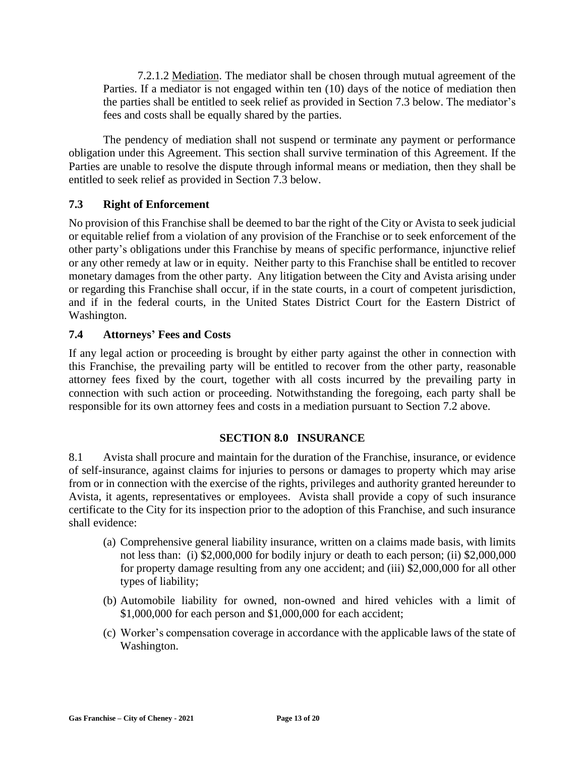7.2.1.2 Mediation. The mediator shall be chosen through mutual agreement of the Parties. If a mediator is not engaged within ten (10) days of the notice of mediation then the parties shall be entitled to seek relief as provided in Section 7.3 below. The mediator's fees and costs shall be equally shared by the parties.

The pendency of mediation shall not suspend or terminate any payment or performance obligation under this Agreement. This section shall survive termination of this Agreement. If the Parties are unable to resolve the dispute through informal means or mediation, then they shall be entitled to seek relief as provided in Section 7.3 below.

### **7.3 Right of Enforcement**

No provision of this Franchise shall be deemed to bar the right of the City or Avista to seek judicial or equitable relief from a violation of any provision of the Franchise or to seek enforcement of the other party's obligations under this Franchise by means of specific performance, injunctive relief or any other remedy at law or in equity. Neither party to this Franchise shall be entitled to recover monetary damages from the other party. Any litigation between the City and Avista arising under or regarding this Franchise shall occur, if in the state courts, in a court of competent jurisdiction, and if in the federal courts, in the United States District Court for the Eastern District of Washington.

### **7.4 Attorneys' Fees and Costs**

If any legal action or proceeding is brought by either party against the other in connection with this Franchise, the prevailing party will be entitled to recover from the other party, reasonable attorney fees fixed by the court, together with all costs incurred by the prevailing party in connection with such action or proceeding. Notwithstanding the foregoing, each party shall be responsible for its own attorney fees and costs in a mediation pursuant to Section 7.2 above.

### **SECTION 8.0 INSURANCE**

8.1 Avista shall procure and maintain for the duration of the Franchise, insurance, or evidence of self-insurance, against claims for injuries to persons or damages to property which may arise from or in connection with the exercise of the rights, privileges and authority granted hereunder to Avista, it agents, representatives or employees. Avista shall provide a copy of such insurance certificate to the City for its inspection prior to the adoption of this Franchise, and such insurance shall evidence:

- (a) Comprehensive general liability insurance, written on a claims made basis, with limits not less than: (i) \$2,000,000 for bodily injury or death to each person; (ii) \$2,000,000 for property damage resulting from any one accident; and (iii) \$2,000,000 for all other types of liability;
- (b) Automobile liability for owned, non-owned and hired vehicles with a limit of \$1,000,000 for each person and \$1,000,000 for each accident;
- (c) Worker's compensation coverage in accordance with the applicable laws of the state of Washington.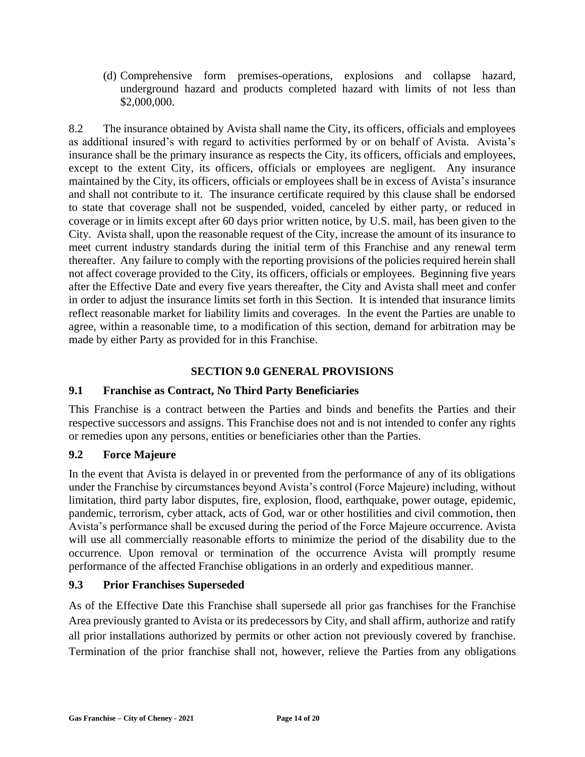(d) Comprehensive form premises-operations, explosions and collapse hazard, underground hazard and products completed hazard with limits of not less than \$2,000,000.

8.2 The insurance obtained by Avista shall name the City, its officers, officials and employees as additional insured's with regard to activities performed by or on behalf of Avista. Avista's insurance shall be the primary insurance as respects the City, its officers, officials and employees, except to the extent City, its officers, officials or employees are negligent. Any insurance maintained by the City, its officers, officials or employees shall be in excess of Avista's insurance and shall not contribute to it. The insurance certificate required by this clause shall be endorsed to state that coverage shall not be suspended, voided, canceled by either party, or reduced in coverage or in limits except after 60 days prior written notice, by U.S. mail, has been given to the City. Avista shall, upon the reasonable request of the City, increase the amount of its insurance to meet current industry standards during the initial term of this Franchise and any renewal term thereafter. Any failure to comply with the reporting provisions of the policies required herein shall not affect coverage provided to the City, its officers, officials or employees. Beginning five years after the Effective Date and every five years thereafter, the City and Avista shall meet and confer in order to adjust the insurance limits set forth in this Section. It is intended that insurance limits reflect reasonable market for liability limits and coverages. In the event the Parties are unable to agree, within a reasonable time, to a modification of this section, demand for arbitration may be made by either Party as provided for in this Franchise.

### **SECTION 9.0 GENERAL PROVISIONS**

### **9.1 Franchise as Contract, No Third Party Beneficiaries**

This Franchise is a contract between the Parties and binds and benefits the Parties and their respective successors and assigns. This Franchise does not and is not intended to confer any rights or remedies upon any persons, entities or beneficiaries other than the Parties.

### **9.2 Force Majeure**

In the event that Avista is delayed in or prevented from the performance of any of its obligations under the Franchise by circumstances beyond Avista's control (Force Majeure) including, without limitation, third party labor disputes, fire, explosion, flood, earthquake, power outage, epidemic, pandemic, terrorism, cyber attack, acts of God, war or other hostilities and civil commotion, then Avista's performance shall be excused during the period of the Force Majeure occurrence. Avista will use all commercially reasonable efforts to minimize the period of the disability due to the occurrence. Upon removal or termination of the occurrence Avista will promptly resume performance of the affected Franchise obligations in an orderly and expeditious manner.

### **9.3 Prior Franchises Superseded**

As of the Effective Date this Franchise shall supersede all prior gas franchises for the Franchise Area previously granted to Avista or its predecessors by City, and shall affirm, authorize and ratify all prior installations authorized by permits or other action not previously covered by franchise. Termination of the prior franchise shall not, however, relieve the Parties from any obligations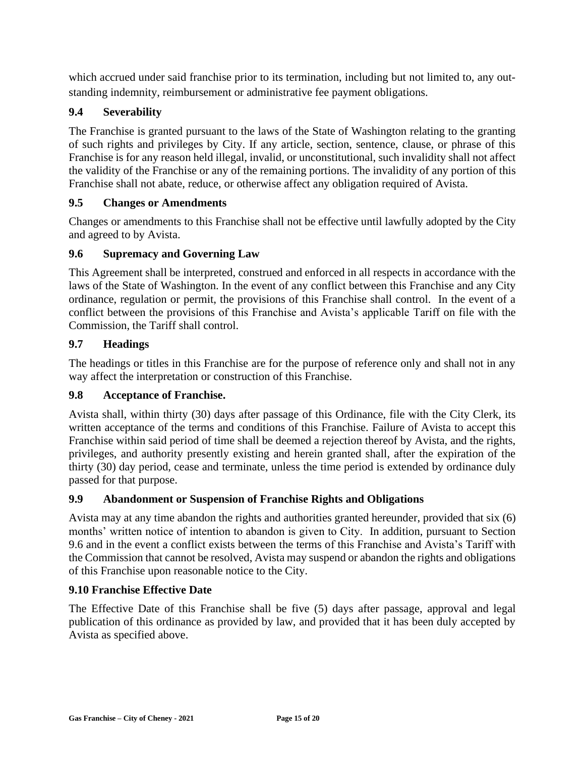which accrued under said franchise prior to its termination, including but not limited to, any outstanding indemnity, reimbursement or administrative fee payment obligations.

### **9.4 Severability**

The Franchise is granted pursuant to the laws of the State of Washington relating to the granting of such rights and privileges by City. If any article, section, sentence, clause, or phrase of this Franchise is for any reason held illegal, invalid, or unconstitutional, such invalidity shall not affect the validity of the Franchise or any of the remaining portions. The invalidity of any portion of this Franchise shall not abate, reduce, or otherwise affect any obligation required of Avista.

### **9.5 Changes or Amendments**

Changes or amendments to this Franchise shall not be effective until lawfully adopted by the City and agreed to by Avista.

#### **9.6 Supremacy and Governing Law**

This Agreement shall be interpreted, construed and enforced in all respects in accordance with the laws of the State of Washington. In the event of any conflict between this Franchise and any City ordinance, regulation or permit, the provisions of this Franchise shall control. In the event of a conflict between the provisions of this Franchise and Avista's applicable Tariff on file with the Commission, the Tariff shall control.

#### **9.7 Headings**

The headings or titles in this Franchise are for the purpose of reference only and shall not in any way affect the interpretation or construction of this Franchise.

#### **9.8 Acceptance of Franchise.**

Avista shall, within thirty (30) days after passage of this Ordinance, file with the City Clerk, its written acceptance of the terms and conditions of this Franchise. Failure of Avista to accept this Franchise within said period of time shall be deemed a rejection thereof by Avista, and the rights, privileges, and authority presently existing and herein granted shall, after the expiration of the thirty (30) day period, cease and terminate, unless the time period is extended by ordinance duly passed for that purpose.

### **9.9 Abandonment or Suspension of Franchise Rights and Obligations**

Avista may at any time abandon the rights and authorities granted hereunder, provided that six (6) months' written notice of intention to abandon is given to City. In addition, pursuant to Section 9.6 and in the event a conflict exists between the terms of this Franchise and Avista's Tariff with the Commission that cannot be resolved, Avista may suspend or abandon the rights and obligations of this Franchise upon reasonable notice to the City.

#### **9.10 Franchise Effective Date**

The Effective Date of this Franchise shall be five (5) days after passage, approval and legal publication of this ordinance as provided by law, and provided that it has been duly accepted by Avista as specified above.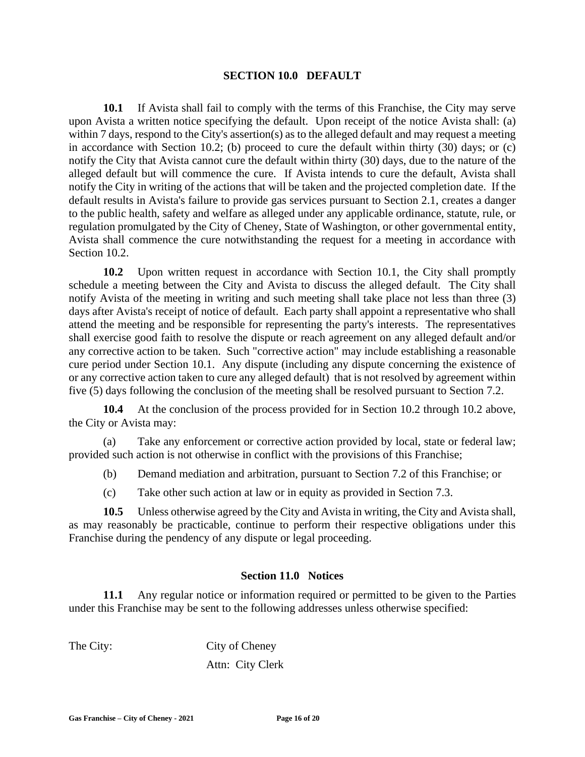#### **SECTION 10.0 DEFAULT**

**10.1** If Avista shall fail to comply with the terms of this Franchise, the City may serve upon Avista a written notice specifying the default. Upon receipt of the notice Avista shall: (a) within 7 days, respond to the City's assertion(s) as to the alleged default and may request a meeting in accordance with Section 10.2; (b) proceed to cure the default within thirty (30) days; or (c) notify the City that Avista cannot cure the default within thirty (30) days, due to the nature of the alleged default but will commence the cure. If Avista intends to cure the default, Avista shall notify the City in writing of the actions that will be taken and the projected completion date. If the default results in Avista's failure to provide gas services pursuant to Section 2.1, creates a danger to the public health, safety and welfare as alleged under any applicable ordinance, statute, rule, or regulation promulgated by the City of Cheney, State of Washington, or other governmental entity, Avista shall commence the cure notwithstanding the request for a meeting in accordance with Section 10.2.

**10.2** Upon written request in accordance with Section 10.1, the City shall promptly schedule a meeting between the City and Avista to discuss the alleged default. The City shall notify Avista of the meeting in writing and such meeting shall take place not less than three (3) days after Avista's receipt of notice of default. Each party shall appoint a representative who shall attend the meeting and be responsible for representing the party's interests. The representatives shall exercise good faith to resolve the dispute or reach agreement on any alleged default and/or any corrective action to be taken. Such "corrective action" may include establishing a reasonable cure period under Section 10.1. Any dispute (including any dispute concerning the existence of or any corrective action taken to cure any alleged default) that is not resolved by agreement within five (5) days following the conclusion of the meeting shall be resolved pursuant to Section 7.2.

**10.4** At the conclusion of the process provided for in Section 10.2 through 10.2 above, the City or Avista may:

(a) Take any enforcement or corrective action provided by local, state or federal law; provided such action is not otherwise in conflict with the provisions of this Franchise;

- (b) Demand mediation and arbitration, pursuant to Section 7.2 of this Franchise; or
- (c) Take other such action at law or in equity as provided in Section 7.3.

**10.5** Unless otherwise agreed by the City and Avista in writing, the City and Avista shall, as may reasonably be practicable, continue to perform their respective obligations under this Franchise during the pendency of any dispute or legal proceeding.

### **Section 11.0 Notices**

**11.1** Any regular notice or information required or permitted to be given to the Parties under this Franchise may be sent to the following addresses unless otherwise specified:

The City: City of Cheney Attn: City Clerk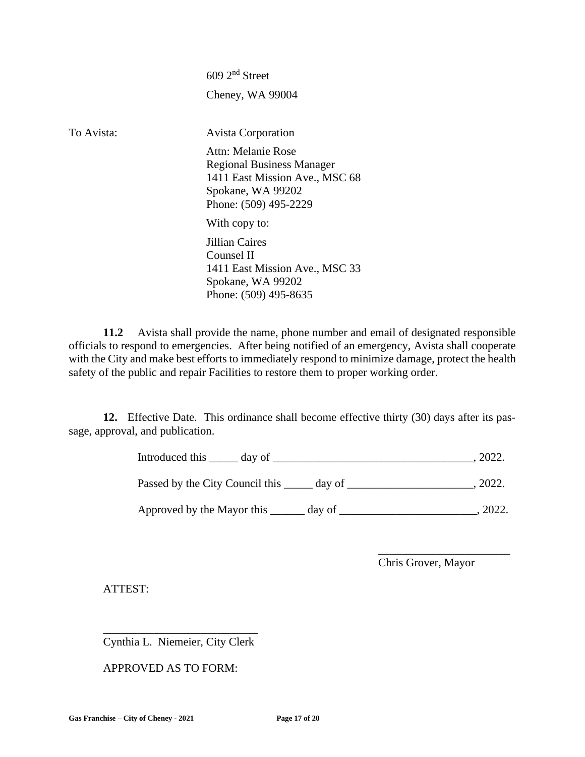609 2nd Street Cheney, WA 99004 To Avista: Avista Corporation Attn: Melanie Rose Regional Business Manager 1411 East Mission Ave., MSC 68 Spokane, WA 99202 Phone: (509) 495-2229 With copy to: Jillian Caires Counsel II 1411 East Mission Ave., MSC 33 Spokane, WA 99202 Phone: (509) 495-8635

**11.2** Avista shall provide the name, phone number and email of designated responsible officials to respond to emergencies. After being notified of an emergency, Avista shall cooperate with the City and make best efforts to immediately respond to minimize damage, protect the health safety of the public and repair Facilities to restore them to proper working order.

**12.** Effective Date. This ordinance shall become effective thirty (30) days after its passage, approval, and publication.

Introduced this \_\_\_\_\_ day of \_\_\_\_\_\_\_\_\_\_\_\_\_\_\_\_\_\_\_\_\_\_\_\_\_\_\_\_\_\_\_\_\_\_\_, 2022.

Passed by the City Council this \_\_\_\_\_ day of \_\_\_\_\_\_\_\_\_\_\_\_\_\_\_\_\_\_\_\_\_, 2022.

Approved by the Mayor this \_\_\_\_\_\_ day of \_\_\_\_\_\_\_\_\_\_\_\_\_\_\_\_\_\_\_\_\_\_\_\_, 2022.

Chris Grover, Mayor

\_\_\_\_\_\_\_\_\_\_\_\_\_\_\_\_\_\_\_\_\_\_\_

ATTEST:

\_\_\_\_\_\_\_\_\_\_\_\_\_\_\_\_\_\_\_\_\_\_\_\_\_\_\_ Cynthia L. Niemeier, City Clerk

APPROVED AS TO FORM: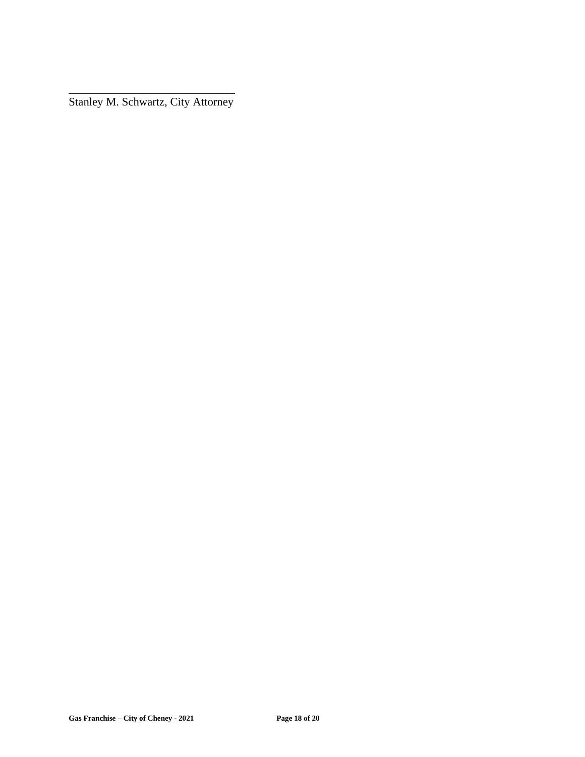\_\_\_\_\_\_\_\_\_\_\_\_\_\_\_\_\_\_\_\_\_\_\_\_\_\_\_\_\_ Stanley M. Schwartz, City Attorney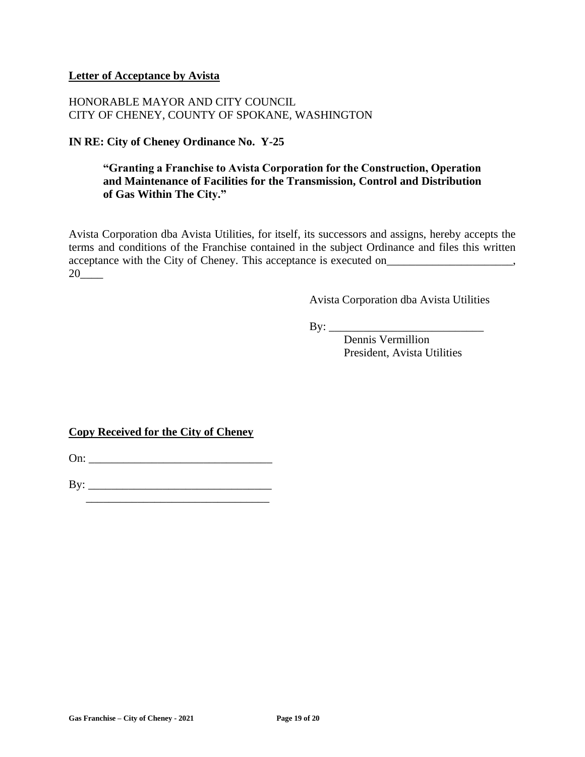#### **Letter of Acceptance by Avista**

### HONORABLE MAYOR AND CITY COUNCIL CITY OF CHENEY, COUNTY OF SPOKANE, WASHINGTON

### **IN RE: City of Cheney Ordinance No. Y-25**

### **"Granting a Franchise to Avista Corporation for the Construction, Operation and Maintenance of Facilities for the Transmission, Control and Distribution of Gas Within The City."**

Avista Corporation dba Avista Utilities, for itself, its successors and assigns, hereby accepts the terms and conditions of the Franchise contained in the subject Ordinance and files this written acceptance with the City of Cheney. This acceptance is executed on\_\_\_\_\_\_\_\_\_\_\_\_\_\_\_\_\_\_\_\_\_, 20\_\_\_\_

Avista Corporation dba Avista Utilities

By: \_\_\_\_\_\_\_\_\_\_\_\_\_\_\_\_\_\_\_\_\_\_\_\_\_\_\_

Dennis Vermillion President, Avista Utilities

### **Copy Received for the City of Cheney**

On: \_\_\_\_\_\_\_\_\_\_\_\_\_\_\_\_\_\_\_\_\_\_\_\_\_\_\_\_\_\_\_\_

 $\mathbf{By:}$ 

\_\_\_\_\_\_\_\_\_\_\_\_\_\_\_\_\_\_\_\_\_\_\_\_\_\_\_\_\_\_\_\_